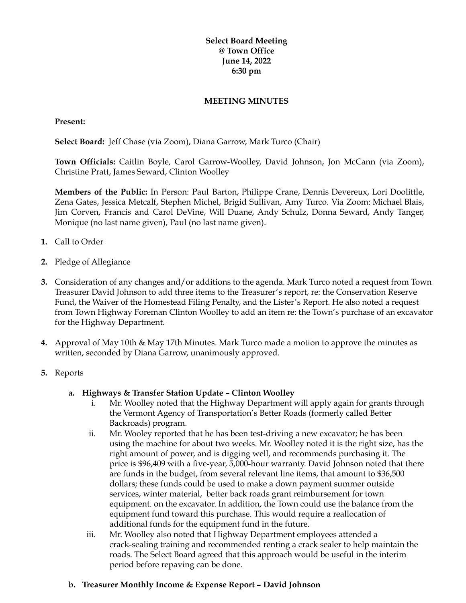### **Select Board Meeting @ Town Office June 14, 2022 6:30 pm**

#### **MEETING MINUTES**

#### **Present:**

**Select Board:** Jeff Chase (via Zoom), Diana Garrow, Mark Turco (Chair)

**Town Officials:** Caitlin Boyle, Carol Garrow-Woolley, David Johnson, Jon McCann (via Zoom), Christine Pratt, James Seward, Clinton Woolley

**Members of the Public:** In Person: Paul Barton, Philippe Crane, Dennis Devereux, Lori Doolittle, Zena Gates, Jessica Metcalf, Stephen Michel, Brigid Sullivan, Amy Turco. Via Zoom: Michael Blais, Jim Corven, Francis and Carol DeVine, Will Duane, Andy Schulz, Donna Seward, Andy Tanger, Monique (no last name given), Paul (no last name given).

- **1.** Call to Order
- **2.** Pledge of Allegiance
- **3.** Consideration of any changes and/or additions to the agenda. Mark Turco noted a request from Town Treasurer David Johnson to add three items to the Treasurer's report, re: the Conservation Reserve Fund, the Waiver of the Homestead Filing Penalty, and the Lister's Report. He also noted a request from Town Highway Foreman Clinton Woolley to add an item re: the Town's purchase of an excavator for the Highway Department.
- **4.** Approval of May 10th & May 17th Minutes. Mark Turco made a motion to approve the minutes as written, seconded by Diana Garrow, unanimously approved.
- **5.** Reports
	- **a. Highways & Transfer Station Update – Clinton Woolley**
		- i. Mr. Woolley noted that the Highway Department will apply again for grants through the Vermont Agency of Transportation's Better Roads (formerly called Better Backroads) program.
		- ii. Mr. Wooley reported that he has been test-driving a new excavator; he has been using the machine for about two weeks. Mr. Woolley noted it is the right size, has the right amount of power, and is digging well, and recommends purchasing it. The price is \$96,409 with a five-year, 5,000-hour warranty. David Johnson noted that there are funds in the budget, from several relevant line items, that amount to \$36,500 dollars; these funds could be used to make a down payment summer outside services, winter material, better back roads grant reimbursement for town equipment. on the excavator. In addition, the Town could use the balance from the equipment fund toward this purchase. This would require a reallocation of additional funds for the equipment fund in the future.
		- iii. Mr. Woolley also noted that Highway Department employees attended a crack-sealing training and recommended renting a crack sealer to help maintain the roads. The Select Board agreed that this approach would be useful in the interim period before repaving can be done.
	- **b. Treasurer Monthly Income & Expense Report – David Johnson**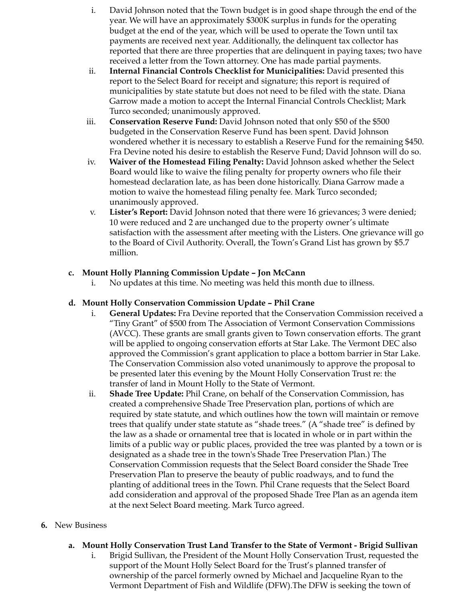- i. David Johnson noted that the Town budget is in good shape through the end of the year. We will have an approximately \$300K surplus in funds for the operating budget at the end of the year, which will be used to operate the Town until tax payments are received next year. Additionally, the delinquent tax collector has reported that there are three properties that are delinquent in paying taxes; two have received a letter from the Town attorney. One has made partial payments.
- ii. **Internal Financial Controls Checklist for Municipalities:** David presented this report to the Select Board for receipt and signature; this report is required of municipalities by state statute but does not need to be filed with the state. Diana Garrow made a motion to accept the Internal Financial Controls Checklist; Mark Turco seconded; unanimously approved.
- iii. **Conservation Reserve Fund:** David Johnson noted that only \$50 of the \$500 budgeted in the Conservation Reserve Fund has been spent. David Johnson wondered whether it is necessary to establish a Reserve Fund for the remaining \$450. Fra Devine noted his desire to establish the Reserve Fund; David Johnson will do so.
- iv. **Waiver of the Homestead Filing Penalty:** David Johnson asked whether the Select Board would like to waive the filing penalty for property owners who file their homestead declaration late, as has been done historically. Diana Garrow made a motion to waive the homestead filing penalty fee. Mark Turco seconded; unanimously approved.
- v. **Lister's Report:** David Johnson noted that there were 16 grievances; 3 were denied; 10 were reduced and 2 are unchanged due to the property owner's ultimate satisfaction with the assessment after meeting with the Listers. One grievance will go to the Board of Civil Authority. Overall, the Town's Grand List has grown by \$5.7 million.

### **c. Mount Holly Planning Commission Update – Jon McCann**

i. No updates at this time. No meeting was held this month due to illness.

### **d. Mount Holly Conservation Commission Update – Phil Crane**

- i. **General Updates:** Fra Devine reported that the Conservation Commission received a "Tiny Grant" of \$500 from The Association of Vermont Conservation Commissions (AVCC). These grants are small grants given to Town conservation efforts. The grant will be applied to ongoing conservation efforts at Star Lake. The Vermont DEC also approved the Commission's grant application to place a bottom barrier in Star Lake. The Conservation Commission also voted unanimously to approve the proposal to be presented later this evening by the Mount Holly Conservation Trust re: the transfer of land in Mount Holly to the State of Vermont.
- ii. **Shade Tree Update:** Phil Crane, on behalf of the Conservation Commission, has created a comprehensive Shade Tree Preservation plan, portions of which are required by state statute, and which outlines how the town will maintain or remove trees that qualify under state statute as "shade trees." (A "shade tree" is defined by the law as a shade or ornamental tree that is located in whole or in part within the limits of a public way or public places, provided the tree was planted by a town or is designated as a shade tree in the town's Shade Tree Preservation Plan.) The Conservation Commission requests that the Select Board consider the Shade Tree Preservation Plan to preserve the beauty of public roadways, and to fund the planting of additional trees in the Town. Phil Crane requests that the Select Board add consideration and approval of the proposed Shade Tree Plan as an agenda item at the next Select Board meeting. Mark Turco agreed.

### **6.** New Business

- **a. Mount Holly Conservation Trust Land Transfer to the State of Vermont - Brigid Sullivan**
	- i. Brigid Sullivan, the President of the Mount Holly Conservation Trust, requested the support of the Mount Holly Select Board for the Trust's planned transfer of ownership of the parcel formerly owned by Michael and Jacqueline Ryan to the Vermont Department of Fish and Wildlife (DFW).The DFW is seeking the town of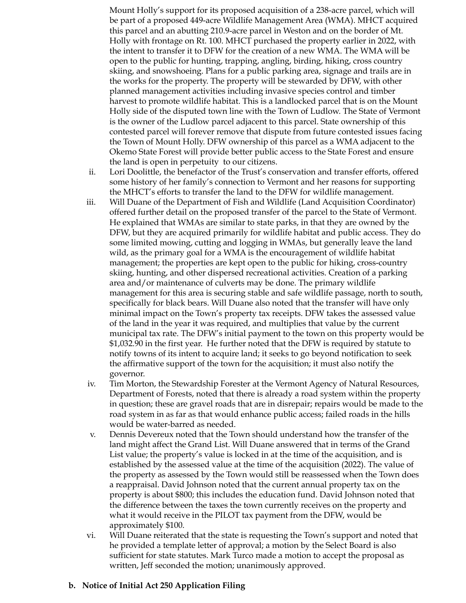Mount Holly's support for its proposed acquisition of a 238-acre parcel, which will be part of a proposed 449-acre Wildlife Management Area (WMA). MHCT acquired this parcel and an abutting 210.9-acre parcel in Weston and on the border of Mt. Holly with frontage on Rt. 100. MHCT purchased the property earlier in 2022, with the intent to transfer it to DFW for the creation of a new WMA. The WMA will be open to the public for hunting, trapping, angling, birding, hiking, cross country skiing, and snowshoeing. Plans for a public parking area, signage and trails are in the works for the property. The property will be stewarded by DFW, with other planned management activities including invasive species control and timber harvest to promote wildlife habitat. This is a landlocked parcel that is on the Mount Holly side of the disputed town line with the Town of Ludlow. The State of Vermont is the owner of the Ludlow parcel adjacent to this parcel. State ownership of this contested parcel will forever remove that dispute from future contested issues facing the Town of Mount Holly. DFW ownership of this parcel as a WMA adjacent to the Okemo State Forest will provide better public access to the State Forest and ensure the land is open in perpetuity to our citizens.

- ii. Lori Doolittle, the benefactor of the Trust's conservation and transfer efforts, offered some history of her family's connection to Vermont and her reasons for supporting the MHCT's efforts to transfer the land to the DFW for wildlife management.
- iii. Will Duane of the Department of Fish and Wildlife (Land Acquisition Coordinator) offered further detail on the proposed transfer of the parcel to the State of Vermont. He explained that WMAs are similar to state parks, in that they are owned by the DFW, but they are acquired primarily for wildlife habitat and public access. They do some limited mowing, cutting and logging in WMAs, but generally leave the land wild, as the primary goal for a WMA is the encouragement of wildlife habitat management; the properties are kept open to the public for hiking, cross-country skiing, hunting, and other dispersed recreational activities. Creation of a parking area and/or maintenance of culverts may be done. The primary wildlife management for this area is securing stable and safe wildlife passage, north to south, specifically for black bears. Will Duane also noted that the transfer will have only minimal impact on the Town's property tax receipts. DFW takes the assessed value of the land in the year it was required, and multiplies that value by the current municipal tax rate. The DFW's initial payment to the town on this property would be \$1,032.90 in the first year. He further noted that the DFW is required by statute to notify towns of its intent to acquire land; it seeks to go beyond notification to seek the affirmative support of the town for the acquisition; it must also notify the governor.
- iv. Tim Morton, the Stewardship Forester at the Vermont Agency of Natural Resources, Department of Forests, noted that there is already a road system within the property in question; these are gravel roads that are in disrepair; repairs would be made to the road system in as far as that would enhance public access; failed roads in the hills would be water-barred as needed.
- v. Dennis Devereux noted that the Town should understand how the transfer of the land might affect the Grand List. Will Duane answered that in terms of the Grand List value; the property's value is locked in at the time of the acquisition, and is established by the assessed value at the time of the acquisition (2022). The value of the property as assessed by the Town would still be reassessed when the Town does a reappraisal. David Johnson noted that the current annual property tax on the property is about \$800; this includes the education fund. David Johnson noted that the difference between the taxes the town currently receives on the property and what it would receive in the PILOT tax payment from the DFW, would be approximately \$100.
- vi. Will Duane reiterated that the state is requesting the Town's support and noted that he provided a template letter of approval; a motion by the Select Board is also sufficient for state statutes. Mark Turco made a motion to accept the proposal as written, Jeff seconded the motion; unanimously approved.

### **b. Notice of Initial Act 250 Application Filing**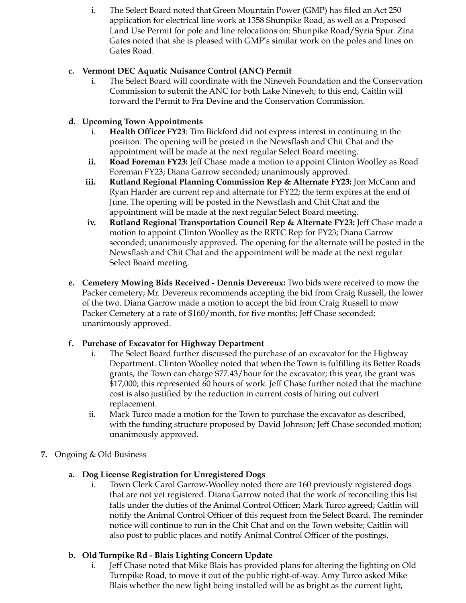i. The Select Board noted that Green Mountain Power (GMP) has filed an Act 250 application for electrical line work at 1358 Shunpike Road, as well as a Proposed Land Use Permit for pole and line relocations on: Shunpike Road/Syria Spur. Zina Gates noted that she is pleased with GMP's similar work on the poles and lines on Gates Road.

## **c. Vermont DEC Aquatic Nuisance Control (ANC) Permit**

i. The Select Board will coordinate with the Nineveh Foundation and the Conservation Commission to submit the ANC for both Lake Nineveh; to this end, Caitlin will forward the Permit to Fra Devine and the Conservation Commission.

## **d. Upcoming Town Appointments**

- i. **Health Officer FY23**: Tim Bickford did not express interest in continuing in the position. The opening will be posted in the Newsflash and Chit Chat and the appointment will be made at the next regular Select Board meeting.
- **ii. Road Foreman FY23:** Jeff Chase made a motion to appoint Clinton Woolley as Road Foreman FY23; Diana Garrow seconded; unanimously approved.
- **iii. Rutland Regional Planning Commission Rep & Alternate FY23:** Jon McCann and Ryan Harder are current rep and alternate for FY22; the term expires at the end of June. The opening will be posted in the Newsflash and Chit Chat and the appointment will be made at the next regular Select Board meeting.
- **iv. Rutland Regional Transportation Council Rep & Alternate FY23:** Jeff Chase made a motion to appoint Clinton Woolley as the RRTC Rep for FY23; Diana Garrow seconded; unanimously approved. The opening for the alternate will be posted in the Newsflash and Chit Chat and the appointment will be made at the next regular Select Board meeting.
- **e. Cemetery Mowing Bids Received - Dennis Devereux:** Two bids were received to mow the Packer cemetery; Mr. Devereux recommends accepting the bid from Craig Russell, the lower of the two. Diana Garrow made a motion to accept the bid from Craig Russell to mow Packer Cemetery at a rate of \$160/month, for five months; Jeff Chase seconded; unanimously approved.

## **f. Purchase of Excavator for Highway Department**

- i. The Select Board further discussed the purchase of an excavator for the Highway Department. Clinton Woolley noted that when the Town is fulfilling its Better Roads grants, the Town can charge \$77.43/hour for the excavator; this year, the grant was \$17,000; this represented 60 hours of work. Jeff Chase further noted that the machine cost is also justified by the reduction in current costs of hiring out culvert replacement.
- ii. Mark Turco made a motion for the Town to purchase the excavator as described, with the funding structure proposed by David Johnson; Jeff Chase seconded motion; unanimously approved.
- **7.** Ongoing & Old Business

# **a. Dog License Registration for Unregistered Dogs**

i. Town Clerk Carol Garrow-Woolley noted there are 160 previously registered dogs that are not yet registered. Diana Garrow noted that the work of reconciling this list falls under the duties of the Animal Control Officer; Mark Turco agreed; Caitlin will notify the Animal Control Officer of this request from the Select Board. The reminder notice will continue to run in the Chit Chat and on the Town website; Caitlin will also post to public places and notify Animal Control Officer of the postings.

# **b. Old Turnpike Rd - Blais Lighting Concern Update**

i. Jeff Chase noted that Mike Blais has provided plans for altering the lighting on Old Turnpike Road, to move it out of the public right-of-way. Amy Turco asked Mike Blais whether the new light being installed will be as bright as the current light,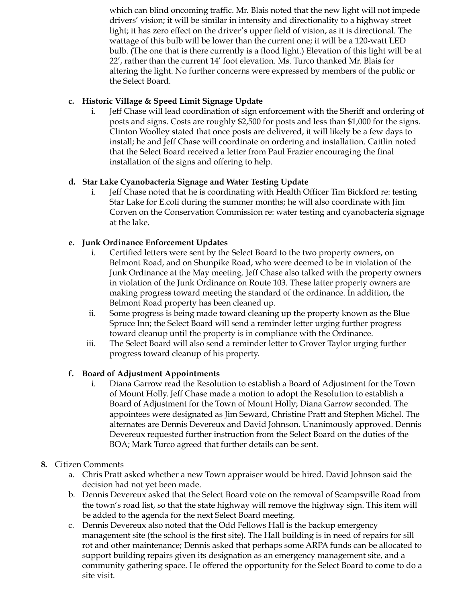which can blind oncoming traffic. Mr. Blais noted that the new light will not impede drivers' vision; it will be similar in intensity and directionality to a highway street light; it has zero effect on the driver's upper field of vision, as it is directional. The wattage of this bulb will be lower than the current one; it will be a 120-watt LED bulb. (The one that is there currently is a flood light.) Elevation of this light will be at 22', rather than the current 14' foot elevation. Ms. Turco thanked Mr. Blais for altering the light. No further concerns were expressed by members of the public or the Select Board.

## **c. Historic Village & Speed Limit Signage Update**

i. Jeff Chase will lead coordination of sign enforcement with the Sheriff and ordering of posts and signs. Costs are roughly \$2,500 for posts and less than \$1,000 for the signs. Clinton Woolley stated that once posts are delivered, it will likely be a few days to install; he and Jeff Chase will coordinate on ordering and installation. Caitlin noted that the Select Board received a letter from Paul Frazier encouraging the final installation of the signs and offering to help.

## **d. Star Lake Cyanobacteria Signage and Water Testing Update**

i. Jeff Chase noted that he is coordinating with Health Officer Tim Bickford re: testing Star Lake for E.coli during the summer months; he will also coordinate with Jim Corven on the Conservation Commission re: water testing and cyanobacteria signage at the lake.

## **e. Junk Ordinance Enforcement Updates**

- i. Certified letters were sent by the Select Board to the two property owners, on Belmont Road, and on Shunpike Road, who were deemed to be in violation of the Junk Ordinance at the May meeting. Jeff Chase also talked with the property owners in violation of the Junk Ordinance on Route 103. These latter property owners are making progress toward meeting the standard of the ordinance. In addition, the Belmont Road property has been cleaned up.
- ii. Some progress is being made toward cleaning up the property known as the Blue Spruce Inn; the Select Board will send a reminder letter urging further progress toward cleanup until the property is in compliance with the Ordinance.
- iii. The Select Board will also send a reminder letter to Grover Taylor urging further progress toward cleanup of his property.

## **f. Board of Adjustment Appointments**

i. Diana Garrow read the Resolution to establish a Board of Adjustment for the Town of Mount Holly. Jeff Chase made a motion to adopt the Resolution to establish a Board of Adjustment for the Town of Mount Holly; Diana Garrow seconded. The appointees were designated as Jim Seward, Christine Pratt and Stephen Michel. The alternates are Dennis Devereux and David Johnson. Unanimously approved. Dennis Devereux requested further instruction from the Select Board on the duties of the BOA; Mark Turco agreed that further details can be sent.

## **8.** Citizen Comments

- a. Chris Pratt asked whether a new Town appraiser would be hired. David Johnson said the decision had not yet been made.
- b. Dennis Devereux asked that the Select Board vote on the removal of Scampsville Road from the town's road list, so that the state highway will remove the highway sign. This item will be added to the agenda for the next Select Board meeting.
- c. Dennis Devereux also noted that the Odd Fellows Hall is the backup emergency management site (the school is the first site). The Hall building is in need of repairs for sill rot and other maintenance; Dennis asked that perhaps some ARPA funds can be allocated to support building repairs given its designation as an emergency management site, and a community gathering space. He offered the opportunity for the Select Board to come to do a site visit.